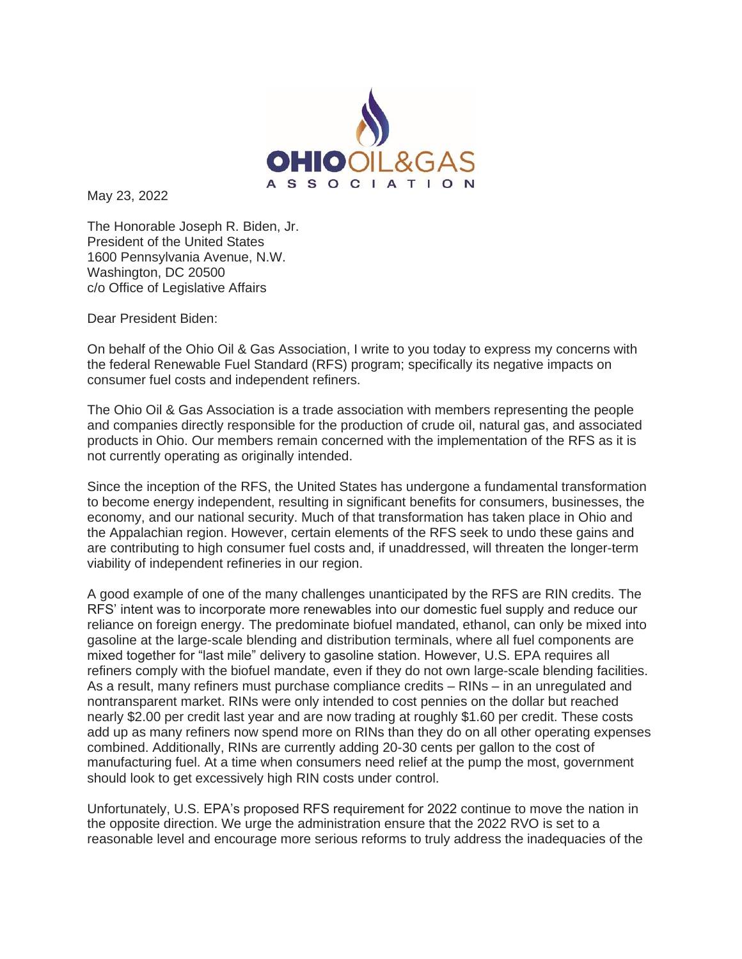

May 23, 2022

The Honorable Joseph R. Biden, Jr. President of the United States 1600 Pennsylvania Avenue, N.W. Washington, DC 20500 c/o Office of Legislative Affairs

Dear President Biden:

On behalf of the Ohio Oil & Gas Association, I write to you today to express my concerns with the federal Renewable Fuel Standard (RFS) program; specifically its negative impacts on consumer fuel costs and independent refiners.

The Ohio Oil & Gas Association is a trade association with members representing the people and companies directly responsible for the production of crude oil, natural gas, and associated products in Ohio. Our members remain concerned with the implementation of the RFS as it is not currently operating as originally intended.

Since the inception of the RFS, the United States has undergone a fundamental transformation to become energy independent, resulting in significant benefits for consumers, businesses, the economy, and our national security. Much of that transformation has taken place in Ohio and the Appalachian region. However, certain elements of the RFS seek to undo these gains and are contributing to high consumer fuel costs and, if unaddressed, will threaten the longer-term viability of independent refineries in our region.

A good example of one of the many challenges unanticipated by the RFS are RIN credits. The RFS' intent was to incorporate more renewables into our domestic fuel supply and reduce our reliance on foreign energy. The predominate biofuel mandated, ethanol, can only be mixed into gasoline at the large-scale blending and distribution terminals, where all fuel components are mixed together for "last mile" delivery to gasoline station. However, U.S. EPA requires all refiners comply with the biofuel mandate, even if they do not own large-scale blending facilities. As a result, many refiners must purchase compliance credits – RINs – in an unregulated and nontransparent market. RINs were only intended to cost pennies on the dollar but reached nearly \$2.00 per credit last year and are now trading at roughly \$1.60 per credit. These costs add up as many refiners now spend more on RINs than they do on all other operating expenses combined. Additionally, RINs are currently adding 20-30 cents per gallon to the cost of manufacturing fuel. At a time when consumers need relief at the pump the most, government should look to get excessively high RIN costs under control.

Unfortunately, U.S. EPA's proposed RFS requirement for 2022 continue to move the nation in the opposite direction. We urge the administration ensure that the 2022 RVO is set to a reasonable level and encourage more serious reforms to truly address the inadequacies of the